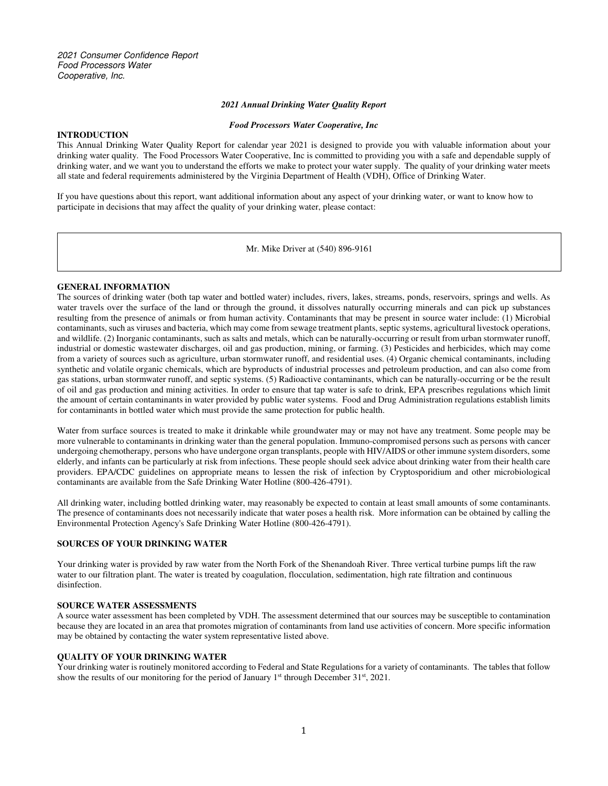#### *2021 Annual Drinking Water Quality Report*

#### *Food Processors Water Cooperative, Inc*

#### **INTRODUCTION**

This Annual Drinking Water Quality Report for calendar year 2021 is designed to provide you with valuable information about your drinking water quality. The Food Processors Water Cooperative, Inc is committed to providing you with a safe and dependable supply of drinking water, and we want you to understand the efforts we make to protect your water supply. The quality of your drinking water meets all state and federal requirements administered by the Virginia Department of Health (VDH), Office of Drinking Water.

If you have questions about this report, want additional information about any aspect of your drinking water, or want to know how to participate in decisions that may affect the quality of your drinking water, please contact:

Mr. Mike Driver at (540) 896-9161

#### **GENERAL INFORMATION**

The sources of drinking water (both tap water and bottled water) includes, rivers, lakes, streams, ponds, reservoirs, springs and wells. As water travels over the surface of the land or through the ground, it dissolves naturally occurring minerals and can pick up substances resulting from the presence of animals or from human activity. Contaminants that may be present in source water include: (1) Microbial contaminants, such as viruses and bacteria, which may come from sewage treatment plants, septic systems, agricultural livestock operations, and wildlife. (2) Inorganic contaminants, such as salts and metals, which can be naturally-occurring or result from urban stormwater runoff, industrial or domestic wastewater discharges, oil and gas production, mining, or farming. (3) Pesticides and herbicides, which may come from a variety of sources such as agriculture, urban stormwater runoff, and residential uses. (4) Organic chemical contaminants, including synthetic and volatile organic chemicals, which are byproducts of industrial processes and petroleum production, and can also come from gas stations, urban stormwater runoff, and septic systems. (5) Radioactive contaminants, which can be naturally-occurring or be the result of oil and gas production and mining activities. In order to ensure that tap water is safe to drink, EPA prescribes regulations which limit the amount of certain contaminants in water provided by public water systems. Food and Drug Administration regulations establish limits for contaminants in bottled water which must provide the same protection for public health.

Water from surface sources is treated to make it drinkable while groundwater may or may not have any treatment. Some people may be more vulnerable to contaminants in drinking water than the general population. Immuno-compromised persons such as persons with cancer undergoing chemotherapy, persons who have undergone organ transplants, people with HIV/AIDS or other immune system disorders, some elderly, and infants can be particularly at risk from infections. These people should seek advice about drinking water from their health care providers. EPA/CDC guidelines on appropriate means to lessen the risk of infection by Cryptosporidium and other microbiological contaminants are available from the Safe Drinking Water Hotline (800-426-4791).

All drinking water, including bottled drinking water, may reasonably be expected to contain at least small amounts of some contaminants. The presence of contaminants does not necessarily indicate that water poses a health risk. More information can be obtained by calling the Environmental Protection Agency's Safe Drinking Water Hotline (800-426-4791).

#### **SOURCES OF YOUR DRINKING WATER**

Your drinking water is provided by raw water from the North Fork of the Shenandoah River. Three vertical turbine pumps lift the raw water to our filtration plant. The water is treated by coagulation, flocculation, sedimentation, high rate filtration and continuous disinfection.

#### **SOURCE WATER ASSESSMENTS**

A source water assessment has been completed by VDH. The assessment determined that our sources may be susceptible to contamination because they are located in an area that promotes migration of contaminants from land use activities of concern. More specific information may be obtained by contacting the water system representative listed above.

#### **QUALITY OF YOUR DRINKING WATER**

Your drinking water is routinely monitored according to Federal and State Regulations for a variety of contaminants. The tables that follow show the results of our monitoring for the period of January 1<sup>st</sup> through December 31<sup>st</sup>, 2021.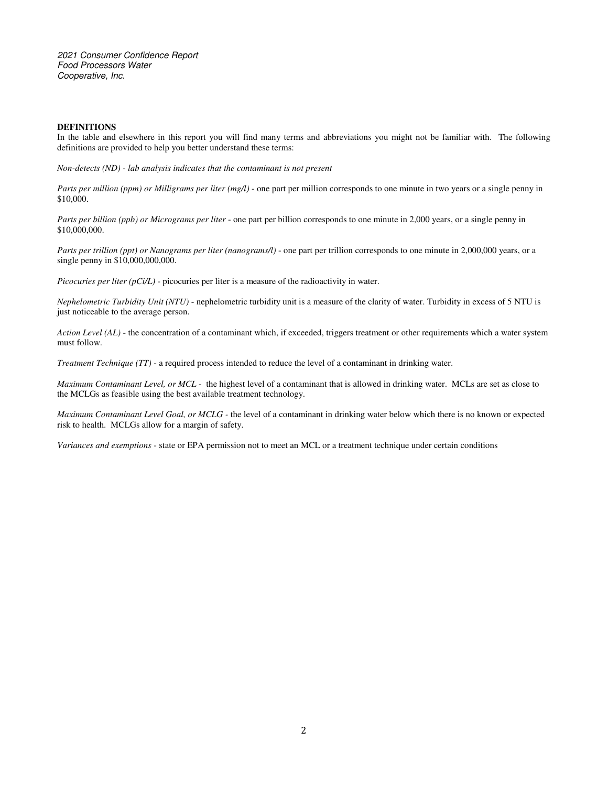2021 Consumer Confidence Report Food Processors Water Cooperative, Inc.

#### **DEFINITIONS**

In the table and elsewhere in this report you will find many terms and abbreviations you might not be familiar with. The following definitions are provided to help you better understand these terms:

*Non-detects (ND) - lab analysis indicates that the contaminant is not present* 

*Parts per million (ppm) or Milligrams per liter (mg/l)* - one part per million corresponds to one minute in two years or a single penny in \$10,000.

*Parts per billion (ppb) or Micrograms per liter* - one part per billion corresponds to one minute in 2,000 years, or a single penny in \$10,000,000.

*Parts per trillion (ppt) or Nanograms per liter (nanograms/l)* - one part per trillion corresponds to one minute in 2,000,000 years, or a single penny in \$10,000,000,000.

*Picocuries per liter (pCi/L)* - picocuries per liter is a measure of the radioactivity in water.

*Nephelometric Turbidity Unit (NTU)* - nephelometric turbidity unit is a measure of the clarity of water. Turbidity in excess of 5 NTU is just noticeable to the average person.

*Action Level (AL)* - the concentration of a contaminant which, if exceeded, triggers treatment or other requirements which a water system must follow.

*Treatment Technique (TT)* - a required process intended to reduce the level of a contaminant in drinking water.

*Maximum Contaminant Level, or MCL* - the highest level of a contaminant that is allowed in drinking water. MCLs are set as close to the MCLGs as feasible using the best available treatment technology.

*Maximum Contaminant Level Goal, or MCLG* - the level of a contaminant in drinking water below which there is no known or expected risk to health. MCLGs allow for a margin of safety.

*Variances and exemptions* - state or EPA permission not to meet an MCL or a treatment technique under certain conditions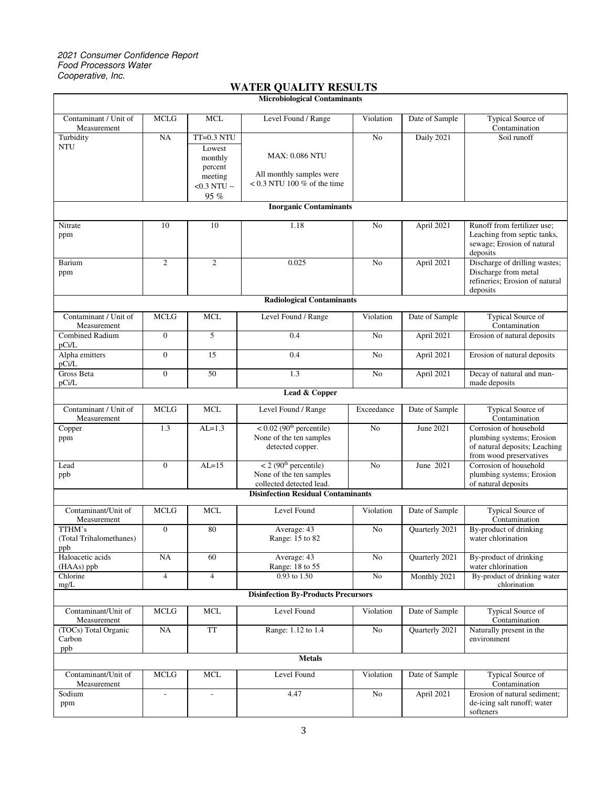## 2021 Consumer Confidence Report Food Processors Water Cooperative, Inc.

| WALLER VOILLETT REDUCTIO<br><b>Microbiological Contaminants</b> |                  |                                                                                    |                                                                                            |                |                       |                                                                                                                 |
|-----------------------------------------------------------------|------------------|------------------------------------------------------------------------------------|--------------------------------------------------------------------------------------------|----------------|-----------------------|-----------------------------------------------------------------------------------------------------------------|
|                                                                 |                  |                                                                                    |                                                                                            |                |                       |                                                                                                                 |
| Contaminant / Unit of<br>Measurement                            | <b>MCLG</b>      | <b>MCL</b>                                                                         | Level Found / Range                                                                        | Violation      | Date of Sample        | <b>Typical Source of</b><br>Contamination                                                                       |
| Turbidity<br><b>NTU</b>                                         | NA               | $TT=0.3 NTU$<br>Lowest<br>monthly<br>percent<br>meeting<br>$<$ 0.3 NTU $-$<br>95 % | <b>MAX: 0.086 NTU</b><br>All monthly samples were<br>$< 0.3$ NTU 100 % of the time         | No             | Daily 2021            | Soil runoff                                                                                                     |
| <b>Inorganic Contaminants</b>                                   |                  |                                                                                    |                                                                                            |                |                       |                                                                                                                 |
| Nitrate<br>ppm                                                  | 10               | 10                                                                                 | 1.18                                                                                       | No             | April 2021            | Runoff from fertilizer use:<br>Leaching from septic tanks,<br>sewage; Erosion of natural<br>deposits            |
| Barium<br>ppm                                                   | $\mathfrak{2}$   | $\overline{c}$                                                                     | 0.025                                                                                      | No             | April 2021            | Discharge of drilling wastes;<br>Discharge from metal<br>refineries; Erosion of natural<br>deposits             |
| <b>Radiological Contaminants</b>                                |                  |                                                                                    |                                                                                            |                |                       |                                                                                                                 |
| Contaminant / Unit of<br>Measurement                            | <b>MCLG</b>      | <b>MCL</b>                                                                         | Level Found / Range                                                                        | Violation      | Date of Sample        | <b>Typical Source of</b><br>Contamination                                                                       |
| <b>Combined Radium</b><br>pCi/L                                 | $\mathbf{0}$     | 5                                                                                  | 0.4                                                                                        | No             | April 2021            | Erosion of natural deposits                                                                                     |
| Alpha emitters<br>pCi/L                                         | $\boldsymbol{0}$ | 15                                                                                 | 0.4                                                                                        | No             | April 2021            | Erosion of natural deposits                                                                                     |
| Gross Beta<br>pCi/L                                             | $\overline{0}$   | 50                                                                                 | 1.3                                                                                        | N <sub>o</sub> | April 2021            | Decay of natural and man-<br>made deposits                                                                      |
| Lead & Copper                                                   |                  |                                                                                    |                                                                                            |                |                       |                                                                                                                 |
| Contaminant / Unit of<br>Measurement                            | <b>MCLG</b>      | <b>MCL</b>                                                                         | Level Found / Range                                                                        | Exceedance     | Date of Sample        | <b>Typical Source of</b><br>Contamination                                                                       |
| Copper<br>ppm                                                   | 1.3              | $AL=1.3$                                                                           | $< 0.02$ (90 <sup>th</sup> percentile)<br>None of the ten samples<br>detected copper.      | N <sub>o</sub> | June 2021             | Corrosion of household<br>plumbing systems; Erosion<br>of natural deposits; Leaching<br>from wood preservatives |
| Lead<br>ppb                                                     | $\mathbf{0}$     | $AL=15$                                                                            | $<$ 2 (90 <sup>th</sup> percentile)<br>None of the ten samples<br>collected detected lead. | N <sub>0</sub> | June 2021             | Corrosion of household<br>plumbing systems; Erosion<br>of natural deposits                                      |
| <b>Disinfection Residual Contaminants</b>                       |                  |                                                                                    |                                                                                            |                |                       |                                                                                                                 |
| Contaminant/Unit of<br>Measurement                              | <b>MCLG</b>      | <b>MCL</b>                                                                         | Level Found                                                                                | Violation      | Date of Sample        | Typical Source of<br>Contamination                                                                              |
| TTHM's<br>(Total Trihalomethanes)<br>ppb                        | $\mathbf{0}$     | 80                                                                                 | Average: 43<br>Range: 15 to 82                                                             | No             | Quarterly 2021        | By-product of drinking<br>water chlorination                                                                    |
| Haloacetic acids<br>(HAAs) ppb                                  | NA               | 60                                                                                 | Average: 43<br>Range: 18 to 55                                                             | No             | Quarterly 2021        | By-product of drinking<br>water chlorination                                                                    |
| Chlorine<br>mg/L                                                | $\overline{4}$   | $\overline{4}$                                                                     | 0.93 to 1.50                                                                               | $\rm No$       | Monthly 2021          | By-product of drinking water<br>chlorination                                                                    |
| <b>Disinfection By-Products Precursors</b>                      |                  |                                                                                    |                                                                                            |                |                       |                                                                                                                 |
| Contaminant/Unit of<br>Measurement                              | <b>MCLG</b>      | <b>MCL</b>                                                                         | Level Found                                                                                | Violation      | Date of Sample        | Typical Source of<br>Contamination                                                                              |
| (TOCs) Total Organic<br>Carbon<br>ppb                           | NA               | <b>TT</b>                                                                          | Range: 1.12 to 1.4                                                                         | ${\rm No}$     | <b>Ouarterly 2021</b> | Naturally present in the<br>environment                                                                         |
| <b>Metals</b>                                                   |                  |                                                                                    |                                                                                            |                |                       |                                                                                                                 |
| Contaminant/Unit of<br>Measurement                              | <b>MCLG</b>      | <b>MCL</b>                                                                         | Level Found                                                                                | Violation      | Date of Sample        | Typical Source of<br>Contamination                                                                              |
| Sodium<br>ppm                                                   | ÷,               | ÷,                                                                                 | 4.47                                                                                       | ${\rm No}$     | April 2021            | Erosion of natural sediment;<br>de-icing salt runoff; water<br>softeners                                        |

# **WATER QUALITY RESULTS**